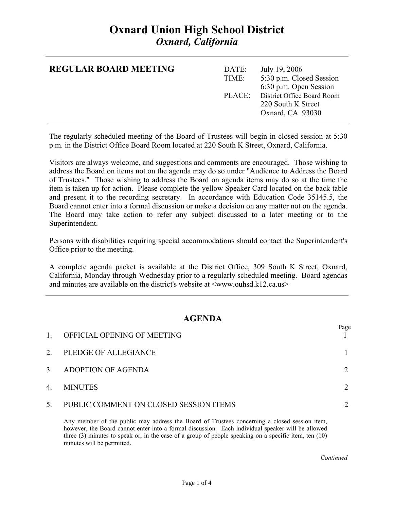# **Oxnard Union High School District**  *Oxnard, California*

| <b>REGULAR BOARD MEETING</b> | DATE:<br>TIME: | July 19, 2006<br>5:30 p.m. Closed Session<br>6:30 p.m. Open Session         |
|------------------------------|----------------|-----------------------------------------------------------------------------|
|                              |                | PLACE: District Office Board Room<br>220 South K Street<br>Oxnard, CA 93030 |

The regularly scheduled meeting of the Board of Trustees will begin in closed session at 5:30 p.m. in the District Office Board Room located at 220 South K Street, Oxnard, California.

Visitors are always welcome, and suggestions and comments are encouraged. Those wishing to address the Board on items not on the agenda may do so under "Audience to Address the Board of Trustees." Those wishing to address the Board on agenda items may do so at the time the item is taken up for action. Please complete the yellow Speaker Card located on the back table and present it to the recording secretary. In accordance with Education Code 35145.5, the Board cannot enter into a formal discussion or make a decision on any matter not on the agenda. The Board may take action to refer any subject discussed to a later meeting or to the Superintendent.

Persons with disabilities requiring special accommodations should contact the Superintendent's Office prior to the meeting.

A complete agenda packet is available at the District Office, 309 South K Street, Oxnard, California, Monday through Wednesday prior to a regularly scheduled meeting. Board agendas and minutes are available on the district's website at  $\langle$ www.ouhsd.k12.ca.us $>$ 

### **AGENDA**

| $\mathbf{1}$ | OFFICIAL OPENING OF MEETING            | Page |
|--------------|----------------------------------------|------|
| 2.           | PLEDGE OF ALLEGIANCE                   |      |
| 3.           | ADOPTION OF AGENDA                     |      |
| 4.           | <b>MINUTES</b>                         |      |
| 5.           | PUBLIC COMMENT ON CLOSED SESSION ITEMS |      |

Any member of the public may address the Board of Trustees concerning a closed session item, however, the Board cannot enter into a formal discussion. Each individual speaker will be allowed three (3) minutes to speak or, in the case of a group of people speaking on a specific item, ten (10) minutes will be permitted.

*Continued Continued*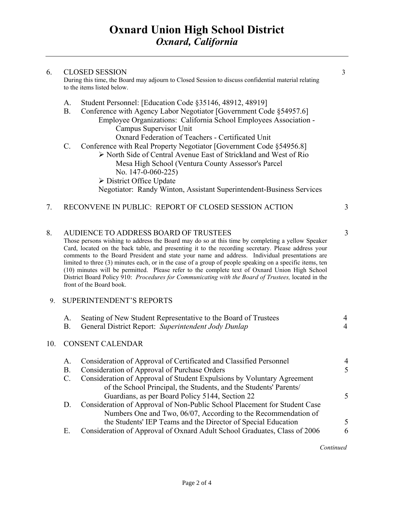| 6. | <b>CLOSED SESSION</b><br>During this time, the Board may adjourn to Closed Session to discuss confidential material relating<br>to the items listed below.                                                                                                                                                                                   |   |  |
|----|----------------------------------------------------------------------------------------------------------------------------------------------------------------------------------------------------------------------------------------------------------------------------------------------------------------------------------------------|---|--|
|    | Student Personnel: [Education Code §35146, 48912, 48919]<br>$A_{\cdot}$<br>Conference with Agency Labor Negotiator [Government Code §54957.6]<br>B.<br>Employee Organizations: California School Employees Association -<br>Campus Supervisor Unit<br>Oxnard Federation of Teachers - Certificated Unit                                      |   |  |
|    | $\mathcal{C}$ .<br>Conference with Real Property Negotiator [Government Code §54956.8]<br>> North Side of Central Avenue East of Strickland and West of Rio<br>Mesa High School (Ventura County Assessor's Parcel<br>No. $147-0-060-225$<br>> District Office Update<br>Negotiator: Randy Winton, Assistant Superintendent-Business Services |   |  |
| 7. | RECONVENE IN PUBLIC: REPORT OF CLOSED SESSION ACTION                                                                                                                                                                                                                                                                                         | 3 |  |
| 8. | AUDIENCE TO ADDRESS BOARD OF TRUSTEES<br>Those persons wishing to address the Board may do so at this time by completing a yellow Speaker                                                                                                                                                                                                    | 3 |  |

Card, located on the back table, and presenting it to the recording secretary. Please address your comments to the Board President and state your name and address. Individual presentations are limited to three (3) minutes each, or in the case of a group of people speaking on a specific items, ten (10) minutes will be permitted. Please refer to the complete text of Oxnard Union High School District Board Policy 910: *Procedures for Communicating with the Board of Trustees,* located in the front of the Board book.

#### 9. SUPERINTENDENT'S REPORTS

|     | A.        | Seating of New Student Representative to the Board of Trustees                                                                              | 4             |
|-----|-----------|---------------------------------------------------------------------------------------------------------------------------------------------|---------------|
|     | В.        | General District Report: Superintendent Jody Dunlap                                                                                         | 4             |
| 10. |           | <b>CONSENT CALENDAR</b>                                                                                                                     |               |
|     | A.        | Consideration of Approval of Certificated and Classified Personnel                                                                          | 4             |
|     | <b>B.</b> | Consideration of Approval of Purchase Orders                                                                                                | 5             |
|     | C.        | Consideration of Approval of Student Expulsions by Voluntary Agreement<br>of the School Principal, the Students, and the Students' Parents/ |               |
|     |           | Guardians, as per Board Policy 5144, Section 22                                                                                             | $\mathcal{F}$ |
|     | D.        | Consideration of Approval of Non-Public School Placement for Student Case                                                                   |               |
|     |           | Numbers One and Two, 06/07, According to the Recommendation of                                                                              |               |
|     |           | the Students' IEP Teams and the Director of Special Education                                                                               |               |

E. Consideration of Approval of Oxnard Adult School Graduates, Class of 2006 6

*Continued Continued*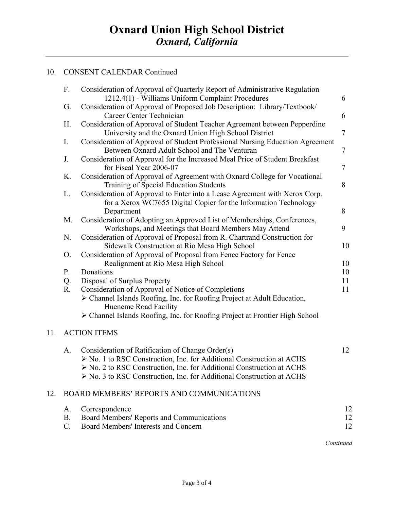### 10. CONSENT CALENDAR Continued

|     | F.             | Consideration of Approval of Quarterly Report of Administrative Regulation<br>1212.4(1) - Williams Uniform Complaint Procedures                                                                                                                                             | 6              |
|-----|----------------|-----------------------------------------------------------------------------------------------------------------------------------------------------------------------------------------------------------------------------------------------------------------------------|----------------|
|     | G.             | Consideration of Approval of Proposed Job Description: Library/Textbook/<br>Career Center Technician                                                                                                                                                                        | 6              |
|     | H <sub>r</sub> | Consideration of Approval of Student Teacher Agreement between Pepperdine<br>University and the Oxnard Union High School District                                                                                                                                           | $\overline{7}$ |
|     | I.             | Consideration of Approval of Student Professional Nursing Education Agreement<br>Between Oxnard Adult School and The Venturan                                                                                                                                               | $\tau$         |
|     | J.             | Consideration of Approval for the Increased Meal Price of Student Breakfast<br>for Fiscal Year 2006-07                                                                                                                                                                      | $\overline{7}$ |
|     | K.             | Consideration of Approval of Agreement with Oxnard College for Vocational<br>Training of Special Education Students                                                                                                                                                         | 8              |
|     | L.             | Consideration of Approval to Enter into a Lease Agreement with Xerox Corp.<br>for a Xerox WC7655 Digital Copier for the Information Technology<br>Department                                                                                                                | 8              |
|     | M.             | Consideration of Adopting an Approved List of Memberships, Conferences,<br>Workshops, and Meetings that Board Members May Attend                                                                                                                                            | 9              |
|     | N.             | Consideration of Approval of Proposal from R. Chartrand Construction for<br>Sidewalk Construction at Rio Mesa High School                                                                                                                                                   | 10             |
|     | O.             | Consideration of Approval of Proposal from Fence Factory for Fence<br>Realignment at Rio Mesa High School                                                                                                                                                                   | 10             |
|     | P.             | Donations                                                                                                                                                                                                                                                                   | 10             |
|     | Q.             | Disposal of Surplus Property                                                                                                                                                                                                                                                | 11             |
|     | R.             | Consideration of Approval of Notice of Completions                                                                                                                                                                                                                          | 11             |
|     |                | > Channel Islands Roofing, Inc. for Roofing Project at Adult Education,<br>Hueneme Road Facility                                                                                                                                                                            |                |
|     |                | > Channel Islands Roofing, Inc. for Roofing Project at Frontier High School                                                                                                                                                                                                 |                |
| 11. |                | <b>ACTION ITEMS</b>                                                                                                                                                                                                                                                         |                |
|     | A.             | Consideration of Ratification of Change Order(s)<br>> No. 1 to RSC Construction, Inc. for Additional Construction at ACHS<br>> No. 2 to RSC Construction, Inc. for Additional Construction at ACHS<br>> No. 3 to RSC Construction, Inc. for Additional Construction at ACHS | 12             |
| 12. |                | BOARD MEMBERS' REPORTS AND COMMUNICATIONS                                                                                                                                                                                                                                   |                |

| A. Correspondence                                |    |
|--------------------------------------------------|----|
| <b>Board Members' Reports and Communications</b> |    |
| C. Board Members' Interests and Concern          | 12 |

*Continued* Continued